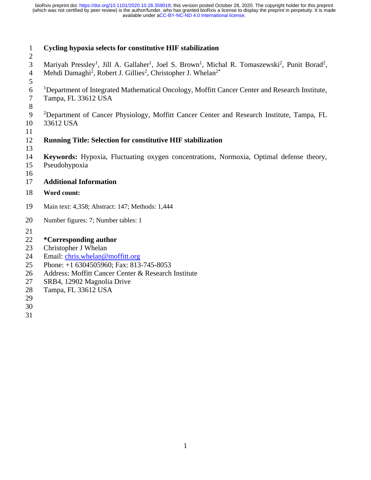# **Cycling hypoxia selects for constitutive HIF stabilization** 3 Mariyah Pressley<sup>1</sup>, Jill A. Gallaher<sup>1</sup>, Joel S. Brown<sup>1</sup>, Michal R. Tomaszewski<sup>2</sup>, Punit Borad<sup>2</sup>, 4 Mehdi Damaghi<sup>2</sup>, Robert J. Gillies<sup>2</sup>, Christopher J. Whelan<sup>2\*</sup> <sup>1</sup>Department of Integrated Mathematical Oncology, Moffitt Cancer Center and Research Institute, Tampa, FL 33612 USA <sup>2</sup>Department of Cancer Physiology, Moffitt Cancer Center and Research Institute, Tampa, FL 33612 USA **Running Title: Selection for constitutive HIF stabilization Keywords:** Hypoxia, Fluctuating oxygen concentrations, Normoxia, Optimal defense theory, Pseudohypoxia **Additional Information Word count:**  Main text: 4,358; Abstract: 147; Methods: 1,444 Number figures: 7; Number tables: 1 **\*Corresponding author** Christopher J Whelan Email: [chris.whelan@moffitt.org](mailto:chris.whelan@moffitt.org) Phone: +1 6304505960; Fax: 813-745-8053 Address: Moffitt Cancer Center & Research Institute SRB4, 12902 Magnolia Drive Tampa, FL 33612 USA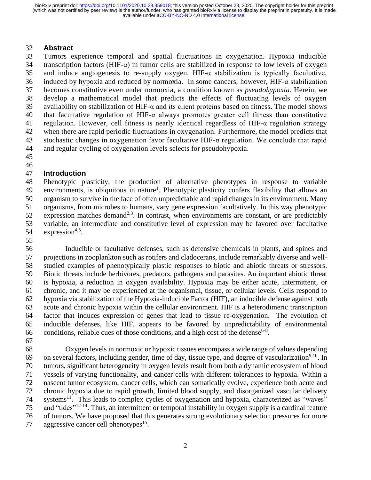## **Abstract**

 Tumors experience temporal and spatial fluctuations in oxygenation. Hypoxia inducible 34 transcription factors (HIF- $\alpha$ ) in tumor cells are stabilized in response to low levels of oxygen 35 and induce angiogenesis to re-supply oxygen. HIF- $\alpha$  stabilization is typically facultative, induced by hypoxia and reduced by normoxia. In some cancers, however, HIF-α stabilization becomes constitutive even under normoxia, a condition known as *pseudohypoxia*. Herein, we develop a mathematical model that predicts the effects of fluctuating levels of oxygen 39 availability on stabilization of HIF- $\alpha$  and its client proteins based on fitness. The model shows that facultative regulation of HIF-α always promotes greater cell fitness than constitutive regulation. However, cell fitness is nearly identical regardless of HIF-α regulation strategy when there are rapid periodic fluctuations in oxygenation. Furthermore, the model predicts that 43 stochastic changes in oxygenation favor facultative HIF- $\alpha$  regulation. We conclude that rapid and regular cycling of oxygenation levels selects for pseudohypoxia.

### 

## **Introduction**

 Phenotypic plasticity, the production of alternative phenotypes in response to variable 49 environments, is ubiquitous in nature<sup>1</sup>. Phenotypic plasticity confers flexibility that allows an organism to survive in the face of often unpredictable and rapid changes in its environment. Many organisms, from microbes to humans, vary gene expression facultatively. In this way phenotypic 52 expression matches demand<sup>2,3</sup>. In contrast, when environments are constant, or are predictably variable, an intermediate and constitutive level of expression may be favored over facultative  $expression<sup>4,5</sup>$ .

 Inducible or facultative defenses, such as defensive chemicals in plants, and spines and projections in zooplankton such as rotifers and cladocerans, include remarkably diverse and well- studied examples of phenotypically plastic responses to biotic and abiotic threats or stressors. Biotic threats include herbivores, predators, pathogens and parasites. An important abiotic threat is hypoxia, a reduction in oxygen availability. Hypoxia may be either acute, intermittent, or chronic, and it may be experienced at the organismal, tissue, or cellular levels. Cells respond to hypoxia via stabilization of the Hypoxia-inducible Factor (HIF), an inducible defense against both acute and chronic hypoxia within the cellular environment. HIF is a heterodimeric transcription factor that induces expression of genes that lead to tissue re-oxygenation. The evolution of inducible defenses, like HIF, appears to be favored by unpredictability of environmental 66 conditions, reliable cues of those conditions, and a high cost of the defense<sup>6-8</sup>.

 Oxygen levels in normoxic or hypoxic tissues encompass a wide range of values depending 69 on several factors, including gender, time of day, tissue type, and degree of vascularization<sup>9,10</sup>. In tumors, significant heterogeneity in oxygen levels result from both a dynamic ecosystem of blood vessels of varying functionality, and cancer cells with different tolerances to hypoxia. Within a nascent tumor ecosystem, cancer cells, which can somatically evolve, experience both acute and chronic hypoxia due to rapid growth, limited blood supply, and disorganized vascular delivery 74 systems<sup>11</sup>. This leads to complex cycles of oxygenation and hypoxia, characterized as "waves" 75 and "tides"<sup>12-14</sup>. Thus, an intermittent or temporal instability in oxygen supply is a cardinal feature of tumors. We have proposed that this generates strong evolutionary selection pressures for more 77 aggressive cancer cell phenotypes<sup>15</sup>.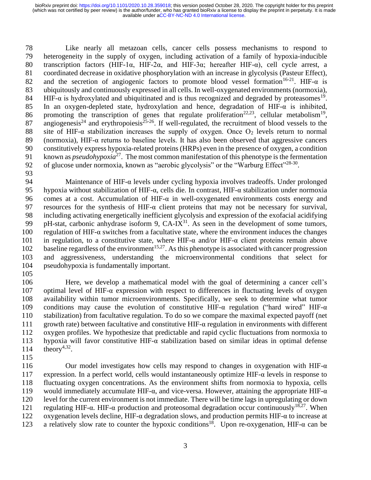78 Like nearly all metazoan cells, cancer cells possess mechanisms to respond to 79 heterogeneity in the supply of oxygen, including activation of a family of hypoxia-inducible 80 transcription factors (HIF-1α, HIF-2α, and HIF-3α; hereafter HIF-α), cell cycle arrest, a 81 coordinated decrease in oxidative phosphorylation with an increase in glycolysis (Pasteur Effect), 82 and the secretion of angiogenic factors to promote blood vessel formation<sup>16-21</sup>. HIF- $\alpha$  is 83 ubiquitously and continuously expressed in all cells. In well-oxygenated environments (normoxia), HIF- $\alpha$  is hydroxylated and ubiquitinated and is thus recognized and degraded by proteasomes<sup>19</sup>. 85 In an oxygen-depleted state, hydroxylation and hence, degradation of HIF-α is inhibited, 86 promoting the transcription of genes that regulate proliferation<sup>22,23</sup>, cellular metabolism<sup>19</sup>, 87 angiogenesis<sup>24</sup> and erythropoiesis<sup>25-26</sup>. If well-regulated, the recruitment of blood vessels to the 88 site of HIF- $\alpha$  stabilization increases the supply of oxygen. Once O<sub>2</sub> levels return to normal 89 (normoxia), HIF- $\alpha$  returns to baseline levels. It has also been observed that aggressive cancers 90 constitutively express hypoxia-related proteins (HRPs) even in the presence of oxygen, a condition 91 known as *pseudohypoxia*<sup>27</sup>. The most common manifestation of this phenotype is the fermentation 92 of glucose under normoxia, known as "aerobic glycolysis" or the "Warburg Effect"<sup>28-30</sup>.

93

94 Maintenance of HIF-α levels under cycling hypoxia involves tradeoffs. Under prolonged 95 hypoxia without stabilization of HIF-α, cells die. In contrast, HIF-α stabilization under normoxia 96 comes at a cost. Accumulation of HIF-α in well-oxygenated environments costs energy and 97 resources for the synthesis of HIF- $\alpha$  client proteins that may not be necessary for survival, 98 including activating energetically inefficient glycolysis and expression of the exofacial acidifying 99 pH-stat, carbonic anhydrase isoform 9,  $CA-IX^{31}$ . As seen in the development of some tumors, 100 regulation of HIF- $\alpha$  switches from a facultative state, where the environment induces the changes 101 in regulation, to a constitutive state, where HIF- $\alpha$  and/or HIF- $\alpha$  client proteins remain above 102 baseline regardless of the environment<sup>15,27</sup>. As this phenotype is associated with cancer progression 103 and aggressiveness, understanding the microenvironmental conditions that select for 104 pseudohypoxia is fundamentally important.

105

 Here, we develop a mathematical model with the goal of determining a cancer cell's 107 optimal level of HIF- $\alpha$  expression with respect to differences in fluctuating levels of oxygen availability within tumor microenvironments. Specifically, we seek to determine what tumor 109 conditions may cause the evolution of constitutive HIF- $\alpha$  regulation ("hard wired" HIF- $\alpha$  stabilization) from facultative regulation. To do so we compare the maximal expected payoff (net 111 growth rate) between facultative and constitutive HIF- $\alpha$  regulation in environments with different oxygen profiles. We hypothesize that predictable and rapid cyclic fluctuations from normoxia to hypoxia will favor constitutive HIF-α stabilization based on similar ideas in optimal defense  $\text{theory}^{4,32}$ .

115

116 Our model investigates how cells may respond to changes in oxygenation with HIF- $\alpha$ 117 expression. In a perfect world, cells would instantaneously optimize  $HIF-\alpha$  levels in response to 118 fluctuating oxygen concentrations. As the environment shifts from normoxia to hypoxia, cells 119 would immediately accumulate HIF- $\alpha$ , and vice-versa. However, attaining the appropriate HIF- $\alpha$ 120 level for the current environment is not immediate. There will be time lags in upregulating or down 121 regulating HIF- $\alpha$ . HIF- $\alpha$  production and proteosomal degradation occur continuously<sup>18,27</sup>. When 122 oxygenation levels decline, HIF- $\alpha$  degradation slows, and production permits HIF- $\alpha$  to increase at a relatively slow rate to counter the hypoxic conditions<sup>18</sup>. Upon re-oxygenation, HIF-α can be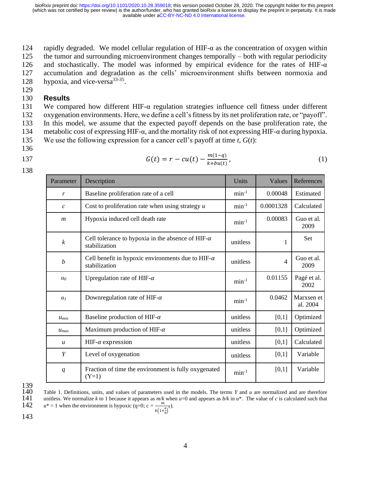124 rapidly degraded. We model cellular regulation of HIF- $\alpha$  as the concentration of oxygen within 125 the tumor and surrounding microenvironment changes temporally – both with regular periodicity 126 and stochastically. The model was informed by empirical evidence for the rates of HIF- $\alpha$ 127 accumulation and degradation as the cells' microenvironment shifts between normoxia and 128 hypoxia, and vice-versa $33-35$ .

### 130 **Results**

 We compared how different HIF-α regulation strategies influence cell fitness under different oxygenation environments. Here, we define a cell's fitness by its net proliferation rate, or "payoff". In this model, we assume that the expected payoff depends on the base proliferation rate, the 134 metabolic cost of expressing HIF- $\alpha$ , and the mortality risk of not expressing HIF- $\alpha$  during hypoxia. We use the following expression for a cancer cell's payoff at time *t*, *G*(*t*):

136

129

- 
- 138

| 137 | $G(t) = r - cu(t) - \frac{m(1-q)}{k + bu(t)},$ | (1) |
|-----|------------------------------------------------|-----|
|     |                                                |     |

| Parameter        | Description                                                                | Units      | Values         | References             |
|------------------|----------------------------------------------------------------------------|------------|----------------|------------------------|
| $\boldsymbol{r}$ | Baseline proliferation rate of a cell                                      | $min-1$    | 0.00048        | Estimated              |
| $\mathcal{C}$    | Cost to proliferation rate when using strategy $u$                         | $min-1$    | 0.0001328      | Calculated             |
| $\boldsymbol{m}$ | Hypoxia induced cell death rate                                            | $min-1$    | 0.00083        | Guo et al.<br>2009     |
| $\boldsymbol{k}$ | Cell tolerance to hypoxia in the absence of HIF- $\alpha$<br>stabilization | unitless   | 1              | Set                    |
| $\boldsymbol{b}$ | Cell benefit in hypoxic environments due to HIF- $\alpha$<br>stabilization | unitless   | $\overline{4}$ | Guo et al.<br>2009     |
| $\alpha_0$       | Upregulation rate of HIF- $\alpha$                                         | $min-1$    | 0.01155        | Pagé et al.<br>2002    |
| $\alpha_1$       | Downregulation rate of HIF- $\alpha$                                       | $min^{-1}$ | 0.0462         | Marxsen et<br>al. 2004 |
| $u_{min}$        | Baseline production of HIF- $\alpha$                                       | unitless   | [0,1]          | Optimized              |
| $u_{max}$        | Maximum production of HIF- $\alpha$                                        | unitless   | [0,1]          | Optimized              |
| $\boldsymbol{u}$ | HIF- $\alpha$ expression                                                   | unitless   | [0,1]          | Calculated             |
| Y                | Level of oxygenation                                                       | unitless   | [0,1]          | Variable               |
| q                | Fraction of time the environment is fully oxygenated<br>$(Y=1)$            | $min-1$    | [0,1]          | Variable               |

139<br>140

140 Table 1. Definitions, units, and values of parameters used in the models. The terms *Y* and *u* are normalized and are therefore unitless. We normalize *k* to 1 because it appears as  $m/k$  when  $u=0$  and appears as  $b/k$ unitless. We normalize *k* to 1 because it appears as  $m/k$  when  $u=0$  and appears as  $b/k$  in  $u^*$ . The value of *c* is calculated such that m

142 
$$
u^* = 1
$$
 when the environment is hypoxic  $(q=0; c = \frac{m}{b(1 + \frac{k}{b})^2})$ .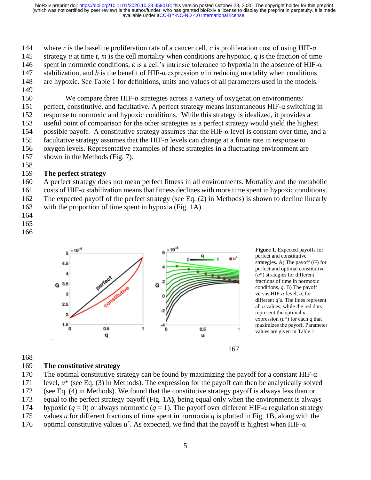144 where *r* is the baseline proliferation rate of a cancer cell, *c* is proliferation cost of using HIF- $\alpha$ 145 strategy *u* at time *t*, *m* is the cell mortality when conditions are hypoxic, *q* is the fraction of time 146 spent in normoxic conditions,  $k$  is a cell's intrinsic tolerance to hypoxia in the absence of HIF- $\alpha$ 147 stabilization, and *b* is the benefit of HIF-α expression *u* in reducing mortality when conditions 148 are hypoxic. See Table 1 for definitions, units and values of all parameters used in the models.

149

150 We compare three HIF- $\alpha$  strategies across a variety of oxygenation environments: 151 perfect, constitutive, and facultative. A perfect strategy means instantaneous HIF- $\alpha$  switching in 152 response to normoxic and hypoxic conditions. While this strategy is idealized, it provides a 153 useful point of comparison for the other strategies as a perfect strategy would yield the highest 154 possible payoff. A constitutive strategy assumes that the HIF-α level is constant over time, and a 155 facultative strategy assumes that the HIF- $\alpha$  levels can change at a finite rate in response to 156 oxygen levels. Representative examples of these strategies in a fluctuating environment are

- 157 shown in the Methods (Fig. 7).
- 158

## 159 **The perfect strategy**

160 A perfect strategy does not mean perfect fitness in all environments. Mortality and the metabolic 161 costs of HIF-α stabilization means that fitness declines with more time spent in hypoxic conditions.

162 The expected payoff of the perfect strategy (see Eq. (2) in Methods) is shown to decline linearly

163 with the proportion of time spent in hypoxia (Fig. 1A).

- 164
- 165
- 166





168

# 169 **The constitutive strategy**

170 The optimal constitutive strategy can be found by maximizing the payoff for a constant HIF- $\alpha$ 171 level, *u*\* (see Eq. (3) in Methods). The expression for the payoff can then be analytically solved 172 (see Eq. (4) in Methods). We found that the constitutive strategy payoff is always less than or

173 equal to the perfect strategy payoff (Fig. 1A**)**, being equal only when the environment is always

174 hypoxic (*q* = 0) or always normoxic (*q* = 1). The payoff over different HIF-α regulation strategy

175 values *u* for different fractions of time spent in normoxia *q* is plotted in Fig. 1B, along with the 176 optimal constitutive values  $u^*$ . As expected, we find that the payoff is highest when HIF- $\alpha$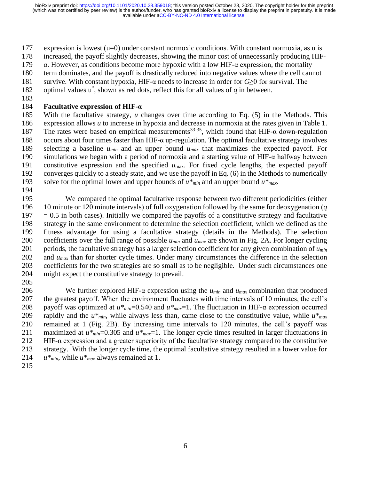expression is lowest (u=0) under constant normoxic conditions. With constant normoxia, as u is

increased, the payoff slightly decreases, showing the minor cost of unnecessarily producing HIF-

179  $\alpha$ . However, as conditions become more hypoxic with a low HIF- $\alpha$  expression, the mortality

term dominates, and the payoff is drastically reduced into negative values where the cell cannot

survive. With constant hypoxia, HIF-α needs to increase in order for *G*≥0 for survival. The

182 optimal values  $u^*$ , shown as red dots, reflect this for all values of  $q$  in between.

## **Facultative expression of HIF-α**

 With the facultative strategy, *u* changes over time according to Eq. (5) in the Methods. This expression allows *u* to increase in hypoxia and decrease in normoxia at the rates given in Table 1. 187 The rates were based on empirical measurements<sup>33-35</sup>, which found that HIF- $\alpha$  down-regulation 188 occurs about four times faster than HIF- $\alpha$  up-regulation. The optimal facultative strategy involves selecting a baseline *umin* and an upper bound *umax* that maximizes the expected payoff. For simulations we began with a period of normoxia and a starting value of HIF-α halfway between constitutive expression and the specified *u*max. For fixed cycle lengths, the expected payoff converges quickly to a steady state, and we use the payoff in Eq. (6) in the Methods to numerically solve for the optimal lower and upper bounds of *u\*min* and an upper bound *u\*max*.

 We compared the optimal facultative response between two different periodicities (either 10 minute or 120 minute intervals) of full oxygenation followed by the same for deoxygenation (*q*  $197 = 0.5$  in both cases). Initially we compared the payoffs of a constitutive strategy and facultative strategy in the same environment to determine the selection coefficient, which we defined as the fitness advantage for using a facultative strategy (details in the Methods). The selection coefficients over the full range of possible *umin* and *umax* are shown in Fig. 2A. For longer cycling periods, the facultative strategy has a larger selection coefficient for any given combination of *umin* 202 and  $u_{max}$  than for shorter cycle times. Under many circumstances the difference in the selection coefficients for the two strategies are so small as to be negligible. Under such circumstances one might expect the constitutive strategy to prevail.

206 We further explored HIF- $\alpha$  expression using the  $u_{min}$  and  $u_{max}$  combination that produced the greatest payoff. When the environment fluctuates with time intervals of 10 minutes, the cell's payoff was optimized at *u\*min*=0.540 and *u\*max*=1. The fluctuation in HIF-α expression occurred rapidly and the *u\*min*, while always less than, came close to the constitutive value, while *u\*max* remained at 1 (Fig. 2B). By increasing time intervals to 120 minutes, the cell's payoff was maximized at *u\*min*=0.305 and *u\*max*=1. The longer cycle times resulted in larger fluctuations in 212 HIF- $\alpha$  expression and a greater superiority of the facultative strategy compared to the constitutive strategy. With the longer cycle time, the optimal facultative strategy resulted in a lower value for *u\*min*, while *u\*max* always remained at 1.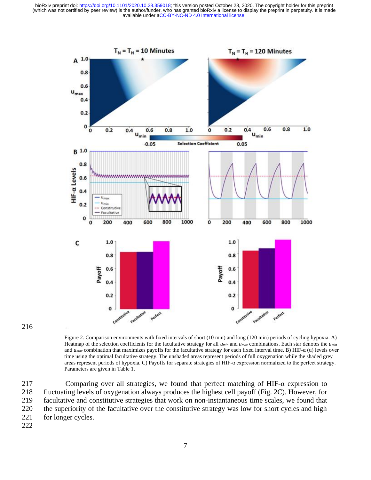

216

Figure 2. Comparison environments with fixed intervals of short (10 min) and long (120 min) periods of cycling hypoxia. A) Heatmap of the selection coefficients for the facultative strategy for all *umin* and *umax* combinations. Each star denotes the *umin* and *umax* combination that maximizes payoffs for the facultative strategy for each fixed interval time. B) HIF-α (u) levels over time using the optimal facultative strategy. The unshaded areas represent periods of full oxygenation while the shaded grey areas represent periods of hypoxia. C) Payoffs for separate strategies of HIF-α expression normalized to the perfect strategy. Parameters are given in Table 1.

 Comparing over all strategies, we found that perfect matching of HIF-α expression to fluctuating levels of oxygenation always produces the highest cell payoff (Fig. 2C). However, for facultative and constitutive strategies that work on non-instantaneous time scales, we found that the superiority of the facultative over the constitutive strategy was low for short cycles and high 221 for longer cycles.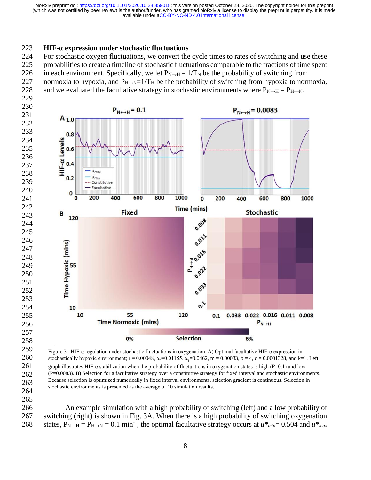#### **HIF-α expression under stochastic fluctuations**

 For stochastic oxygen fluctuations, we convert the cycle times to rates of switching and use these probabilities to create a timeline of stochastic fluctuations comparable to the fractions of time spent 226 in each environment. Specifically, we let  $P_{N\to H} = 1/T_N$  be the probability of switching from 227 normoxia to hypoxia, and  $P_{H\rightarrow N}=1/T_H$  be the probability of switching from hypoxia to normoxia, 228 and we evaluated the facultative strategy in stochastic environments where  $P_{N\rightarrow H} = P_{H\rightarrow N}$ .



 Figure 3. HIF-α regulation under stochastic fluctuations in oxygenation. A) Optimal facultative HIF-α expression in stochastically hypoxic environment;  $r = 0.00048$ ,  $\alpha_0 = 0.01155$ ,  $\alpha_1 = 0.0462$ ,  $m = 0.00083$ ,  $b = 4$ ,  $c = 0.0001328$ , and k=1. Left graph illustrates HIF-α stabilization when the probability of fluctuations in oxygenation states is high (P=0.1) and low (P=0.0083). B) Selection for a facultative strategy over a constitutive strategy for fixed interval and stochastic environments. Because selection is optimized numerically in fixed interval environments, selection gradient is continuous. Selection in stochastic environments is presented as the average of 10 simulation results.

 An example simulation with a high probability of switching (left) and a low probability of switching (right) is shown in Fig. 3A. When there is a high probability of switching oxygenation 268 states,  $P_{N\to H} = P_{H\to N} = 0.1 \text{ min}^{-1}$ , the optimal facultative strategy occurs at  $u^*_{min} = 0.504$  and  $u^*_{max}$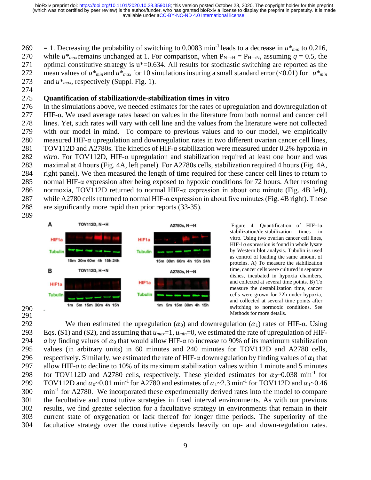$269 = 1$ . Decreasing the probability of switching to 0.0083 min<sup>-1</sup> leads to a decrease in  $u^*_{min}$  to 0.216, 270 while  $u^*$ <sub>max</sub> remains unchanged at 1. For comparison, when  $P_{N\to H} = P_{H\to N}$ , assuming  $q = 0.5$ , the 271 optimal constitutive strategy is u\*=0.634. All results for stochastic switching are reported as the 272 mean values of  $u^*_{min}$  and  $u^*_{max}$  for 10 simulations insuring a small standard error (<0.01) for  $u^*_{min}$ 273 and *u\*max*, respectively (Suppl. Fig. 1).

274

### 275 **Quantification of stabilization/de-stabilization times in vitro**

 In the simulations above, we needed estimates for the rates of upregulation and downregulation of HIF-α. We used average rates based on values in the literature from both normal and cancer cell lines. Yet, such rates will vary with cell line and the values from the literature were not collected with our model in mind. To compare to previous values and to our model, we empirically measured HIF-α upregulation and downregulation rates in two different ovarian cancer cell lines, TOV112D and A2780s. The kinetics of HIF-α stabilization were measured under 0.2% hypoxia *in vitro*. For TOV112D, HIF-α upregulation and stabilization required at least one hour and was maximal at 4 hours (Fig. 4A, left panel). For A2780s cells, stabilization required 4 hours (Fig. 4A, right panel). We then measured the length of time required for these cancer cell lines to return to normal HIF-α expression after being exposed to hypoxic conditions for 72 hours. After restoring 286 normoxia, TOV112D returned to normal HIF- $\alpha$  expression in about one minute (Fig. 4B left), 287 while A2780 cells returned to normal HIF- $\alpha$  expression in about five minutes (Fig. 4B right). These are significantly more rapid than prior reports (33-35).

289



Figure 4. Quantification of HIF-1α stabilization/de-stabilization times in vitro. Using two ovarian cancer cell lines, HIF-1 $\alpha$  expression is found in whole lysate by Western blot analysis. Tubulin is used as control of loading the same amount of proteins. A) To measure the stabilization time, cancer cells were cultured in separate dishes, incubated in hypoxia chambers, and collected at several time points. B) To measure the destabilization time, cancer cells were grown for 72h under hypoxia, and collected at several time points after switching to normoxic conditions. See Methods for more details.

290 291

292 We then estimated the upregulation  $(\alpha_0)$  and downregulation  $(\alpha_1)$  rates of HIF- $\alpha$ . Using Eqs. **(**S1) and (S2), and assuming that *umax*=1, *umin*=0, we estimated the rate of upregulation of HIF-*a* by finding values of  $\alpha_0$  that would allow HIF- $\alpha$  to increase to 90% of its maximum stabilization values (in arbitrary units) in 60 minutes and 240 minutes for TOV112D and A2780 cells, 296 respectively. Similarly, we estimated the rate of HIF- $\alpha$  downregulation by finding values of  $\alpha_1$  that allow HIF-*a* to decline to 10% of its maximum stabilization values within 1 minute and 5 minutes 298 for TOV112D and A2780 cells, respectively. These yielded estimates for  $\alpha_0$ ~0.038 min<sup>-1</sup> for 299 TOV112D and  $\alpha_0$ ~0.01 min<sup>-1</sup> for A2780 and estimates of  $\alpha_1$ ~2.3 min<sup>-1</sup> for TOV112D and  $\alpha_1$ ~0.46 300 min<sup>-1</sup> for A2780. We incorporated these experimentally derived rates into the model to compare the facultative and constitutive strategies in fixed interval environments. As with our previous results, we find greater selection for a facultative strategy in environments that remain in their current state of oxygenation or lack thereof for longer time periods. The superiority of the facultative strategy over the constitutive depends heavily on up- and down-regulation rates.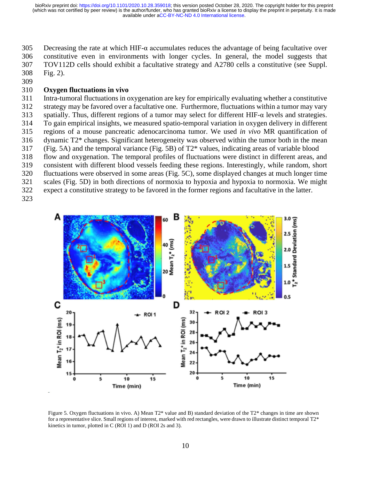Decreasing the rate at which HIF-α accumulates reduces the advantage of being facultative over constitutive even in environments with longer cycles. In general, the model suggests that TOV112D cells should exhibit a facultative strategy and A2780 cells a constitutive (see Suppl. Fig. 2).

### **Oxygen fluctuations in vivo**

 Intra-tumoral fluctuations in oxygenation are key for empirically evaluating whether a constitutive strategy may be favored over a facultative one. Furthermore, fluctuations within a tumor may vary 313 spatially. Thus, different regions of a tumor may select for different HIF- $\alpha$  levels and strategies. To gain empirical insights, we measured spatio-temporal variation in oxygen delivery in different regions of a mouse pancreatic adenocarcinoma tumor. We used *in vivo* MR quantification of dynamic T2\* changes. Significant heterogeneity was observed within the tumor both in the mean

(Fig. 5A) and the temporal variance (Fig. 5B) of T2\* values, indicating areas of variable blood

- flow and oxygenation. The temporal profiles of fluctuations were distinct in different areas, and
- consistent with different blood vessels feeding these regions. Interestingly, while random, short
- fluctuations were observed in some areas (Fig. 5C), some displayed changes at much longer time
- scales (Fig. 5D) in both directions of normoxia to hypoxia and hypoxia to normoxia. We might
- expect a constitutive strategy to be favored in the former regions and facultative in the latter.
- 



Figure 5. Oxygen fluctuations in vivo. A) Mean T2\* value and B) standard deviation of the T2\* changes in time are shown for a representative slice. Small regions of interest, marked with red rectangles, were drawn to illustrate distinct temporal  $T2^*$ kinetics in tumor, plotted in C (ROI 1) and D (ROI 2s and 3).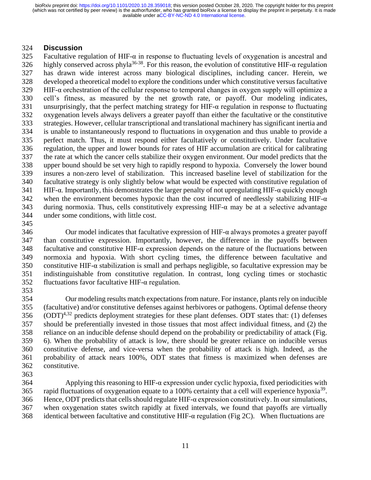### **Discussion**

325 Facultative regulation of HIF- $\alpha$  in response to fluctuating levels of oxygenation is ancestral and 326 highly conserved across phyla<sup>36-38</sup>. For this reason, the evolution of constitutive HIF-α regulation has drawn wide interest across many biological disciplines, including cancer. Herein, we developed a theoretical model to explore the conditions under which constitutive versus facultative HIF-α orchestration of the cellular response to temporal changes in oxygen supply will optimize a cell's fitness, as measured by the net growth rate, or payoff. Our modeling indicates, unsurprisingly, that the perfect matching strategy for HIF-α regulation in response to fluctuating oxygenation levels always delivers a greater payoff than either the facultative or the constitutive strategies. However, cellular transcriptional and translational machinery has significant inertia and is unable to instantaneously respond to fluctuations in oxygenation and thus unable to provide a perfect match. Thus, it must respond either facultatively or constitutively. Under facultative regulation, the upper and lower bounds for rates of HIF accumulation are critical for calibrating the rate at which the cancer cells stabilize their oxygen environment. Our model predicts that the upper bound should be set very high to rapidly respond to hypoxia. Conversely the lower bound insures a non-zero level of stabilization. This increased baseline level of stabilization for the facultative strategy is only slightly below what would be expected with constitutive regulation of 341 HIF- $\alpha$ . Importantly, this demonstrates the larger penalty of not upregulating HIF- $\alpha$  quickly enough 342 when the environment becomes hypoxic than the cost incurred of needlessly stabilizing HIF- $\alpha$ 343 during normoxia. Thus, cells constitutively expressing HIF- $\alpha$  may be at a selective advantage under some conditions, with little cost.

 Our model indicates that facultative expression of HIF-α always promotes a greater payoff than constitutive expression. Importantly, however, the difference in the payoffs between facultative and constitutive HIF-α expression depends on the nature of the fluctuations between normoxia and hypoxia. With short cycling times, the difference between facultative and constitutive HIF-α stabilization is small and perhaps negligible, so facultative expression may be indistinguishable from constitutive regulation. In contrast, long cycling times or stochastic fluctuations favor facultative HIF-α regulation.

 Our modeling results match expectations from nature. For instance, plants rely on inducible (facultative) and/or constitutive defenses against herbivores or pathogens. Optimal defense theory (ODT)<sup>4,32</sup> predicts deployment strategies for these plant defenses. ODT states that: (1) defenses should be preferentially invested in those tissues that most affect individual fitness, and (2) the reliance on an inducible defense should depend on the probability or predictability of attack (Fig. 6). When the probability of attack is low, there should be greater reliance on inducible versus constitutive defense, and vice-versa when the probability of attack is high. Indeed, as the probability of attack nears 100%, ODT states that fitness is maximized when defenses are constitutive.

364 Applying this reasoning to HIF- $\alpha$  expression under cyclic hypoxia, fixed periodicities with 365 rapid fluctuations of oxygenation equate to a 100% certainty that a cell will experience hypoxia<sup>39</sup>. Hence, ODT predictsthat cells should regulate HIF-α expression constitutively. In our simulations, when oxygenation states switch rapidly at fixed intervals, we found that payoffs are virtually 368 identical between facultative and constitutive HIF- $\alpha$  regulation (Fig 2C). When fluctuations are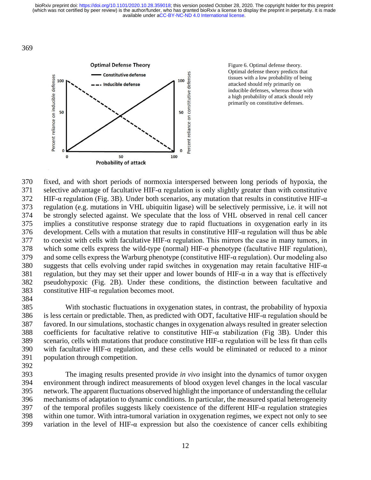

Figure 6. Optimal defense theory. Optimal defense theory predicts that tissues with a low probability of being attacked should rely primarily on inducible defenses, whereas those with a high probability of attack should rely primarily on constitutive defenses.

 fixed, and with short periods of normoxia interspersed between long periods of hypoxia, the 371 selective advantage of facultative HIF- $\alpha$  regulation is only slightly greater than with constitutive 372 HIF- $\alpha$  regulation (Fig. 3B). Under both scenarios, any mutation that results in constitutive HIF- $\alpha$  regulation (e.g. mutations in VHL ubiquitin ligase) will be selectively permissive, i.e. it will not be strongly selected against. We speculate that the loss of VHL observed in renal cell cancer implies a constitutive response strategy due to rapid fluctuations in oxygenation early in its 376 development. Cells with a mutation that results in constitutive HIF- $\alpha$  regulation will thus be able to coexist with cells with facultative HIF-α regulation. This mirrors the case in many tumors, in which some cells express the wild-type (normal) HIF-α phenotype (facultative HIF regulation), and some cells express the Warburg phenotype (constitutive HIF-α regulation). Our modeling also 380 suggests that cells evolving under rapid switches in oxygenation may retain facultative HIF- $\alpha$ 381 regulation, but they may set their upper and lower bounds of HIF- $\alpha$  in a way that is effectively pseudohypoxic (Fig. 2B). Under these conditions, the distinction between facultative and constitutive HIF-α regulation becomes moot.

 With stochastic fluctuations in oxygenation states, in contrast, the probability of hypoxia is less certain or predictable. Then, as predicted with ODT, facultative HIF-α regulation should be favored. In our simulations, stochastic changes in oxygenation always resulted in greater selection coefficients for facultative relative to constitutive HIF-α stabilization (Fig 3B). Under this scenario, cells with mutations that produce constitutive HIF-α regulation will be less fit than cells with facultative HIF-α regulation, and these cells would be eliminated or reduced to a minor population through competition.

 The imaging results presented provide *in vivo* insight into the dynamics of tumor oxygen environment through indirect measurements of blood oxygen level changes in the local vascular network. The apparent fluctuations observed highlight the importance of understanding the cellular mechanisms of adaptation to dynamic conditions. In particular, the measured spatial heterogeneity of the temporal profiles suggests likely coexistence of the different HIF-α regulation strategies within one tumor. With intra-tumoral variation in oxygenation regimes, we expect not only to see variation in the level of HIF-α expression but also the coexistence of cancer cells exhibiting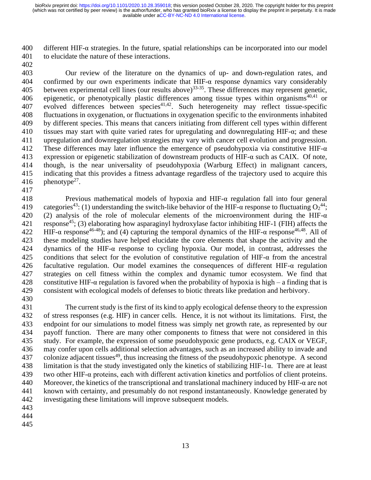400 different HIF- $\alpha$  strategies. In the future, spatial relationships can be incorporated into our model to elucidate the nature of these interactions.

 Our review of the literature on the dynamics of up- and down-regulation rates, and 404 confirmed by our own experiments indicate that  $HIF-\alpha$  response dynamics vary considerably 405 between experimental cell lines (our results above)<sup>33-35</sup>. These differences may represent genetic, 406 epigenetic, or phenotypically plastic differences among tissue types within organisms<sup>40,41</sup> or 407 evolved differences between species<sup>41,42</sup>. Such heterogeneity may reflect tissue-specific fluctuations in oxygenation, or fluctuations in oxygenation specific to the environments inhabited by different species. This means that cancers initiating from different cell types within different 410 tissues may start with quite varied rates for upregulating and downregulating HIF- $\alpha$ ; and these upregulation and downregulation strategies may vary with cancer cell evolution and progression. 412 These differences may later influence the emergence of pseudohypoxia via constitutive HIF- $\alpha$  expression or epigenetic stabilization of downstream products of HIF-α such as CAIX. Of note, though, is the near universality of pseudohypoxia (Warburg Effect) in malignant cancers, indicating that this provides a fitness advantage regardless of the trajectory used to acquire this 416  $phenotype^{27}$ .

 Previous mathematical models of hypoxia and HIF-α regulation fall into four general 419 categories<sup>43</sup>: (1) understanding the switch-like behavior of the HIF- $\alpha$  response to fluctuating  $O_2^{44}$ ; 420 (2) analysis of the role of molecular elements of the microenvironment during the HIF- $\alpha$ 421 response<sup>45</sup>; (3) elaborating how asparaginyl hydroxylase factor inhibiting HIF-1 (FIH) affects the 422 HIF-α response<sup>46-48</sup>); and (4) capturing the temporal dynamics of the HIF-α response<sup>46,48</sup>. All of these modeling studies have helped elucidate the core elements that shape the activity and the dynamics of the HIF-α response to cycling hypoxia. Our model, in contrast, addresses the conditions that select for the evolution of constitutive regulation of HIF-α from the ancestral 426 facultative regulation. Our model examines the consequences of different HIF- $\alpha$  regulation strategies on cell fitness within the complex and dynamic tumor ecosystem. We find that 428 constitutive HIF- $\alpha$  regulation is favored when the probability of hypoxia is high – a finding that is consistent with ecological models of defenses to biotic threats like predation and herbivory. 

 The current study is the first of its kind to apply ecological defense theory to the expression of stress responses (e.g. HIF) in cancer cells. Hence, it is not without its limitations. First, the endpoint for our simulations to model fitness was simply net growth rate, as represented by our payoff function. There are many other components to fitness that were not considered in this study. For example, the expression of some pseudohypoxic gene products, e.g. CAIX or VEGF, may confer upon cells additional selection advantages, such as an increased ability to invade and 437 colonize adjacent tissues<sup>49</sup>, thus increasing the fitness of the pseudohypoxic phenotype. A second limitation is that the study investigated only the kinetics of stabilizing HIF-1α. There are at least two other HIF-α proteins, each with different activation kinetics and portfolios of client proteins. 440 Moreover, the kinetics of the transcriptional and translational machinery induced by HIF- $\alpha$  are not known with certainty, and presumably do not respond instantaneously. Knowledge generated by investigating these limitations will improve subsequent models.

- 
- 
-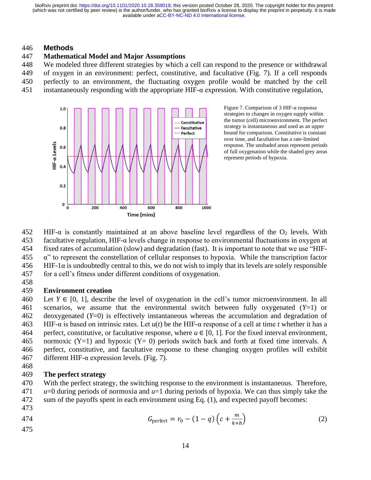#### 446 **Methods**

#### 447 **Mathematical Model and Major Assumptions**

448 We modeled three different strategies by which a cell can respond to the presence or withdrawal

- 449 of oxygen in an environment: perfect, constitutive, and facultative (Fig. 7). If a cell responds
- 450 perfectly to an environment, the fluctuating oxygen profile would be matched by the cell
- 451 instantaneously responding with the appropriate HIF- $\alpha$  expression. With constitutive regulation,



Figure 7. Comparison of 3 HIF-α response strategies to changes in oxygen supply within the tumor (cell) microenvironment. The perfect strategy is instantaneous and used as an upper bound for comparison. Constitutive is constant over time, and facultative has a rate-limited response. The unshaded areas represent periods of full oxygenation while the shaded grey areas represent periods of hypoxia.

452 HIF- $\alpha$  is constantly maintained at an above baseline level regardless of the O<sub>2</sub> levels. With facultative regulation, HIF-α levels change in response to environmental fluctuations in oxygen at fixed rates of accumulation (slow) and degradation (fast). It is important to note that we use "HIF- α" to represent the constellation of cellular responses to hypoxia. While the transcription factor HIF-1 $\alpha$  is undoubtedly central to this, we do not wish to imply that its levels are solely responsible for a cell's fitness under different conditions of oxygenation.

458

### 459 **Environment creation**

460 Let  $Y \in [0, 1]$ , describe the level of oxygenation in the cell's tumor microenvironment. In all 461 scenarios, we assume that the environmental switch between fully oxygenated (*Y*=1) or 462 deoxygenated (*Y*=0) is effectively instantaneous whereas the accumulation and degradation of 463 HIF-α is based on intrinsic rates. Let *u*(*t*) be the HIF-α response of a cell at time *t* whether it has a 464 perfect, constitutive, or facultative response, where  $u \in [0, 1]$ . For the fixed interval environment, 465 normoxic (Y=1) and hypoxic (Y= 0) periods switch back and forth at fixed time intervals. A 466 perfect, constitutive, and facultative response to these changing oxygen profiles will exhibit 467 different HIF- $\alpha$  expression levels. (Fig. 7).

468

#### 469 **The perfect strategy**

470 With the perfect strategy, the switching response to the environment is instantaneous. Therefore, 471 *u*=0 during periods of normoxia and *u*=1 during periods of hypoxia. We can thus simply take the 472 sum of the payoffs spent in each environment using Eq. (1), and expected payoff becomes:

473

474 
$$
G_{\text{perfect}} = r_0 - (1 - q) \left( c + \frac{m}{k + b} \right) \tag{2}
$$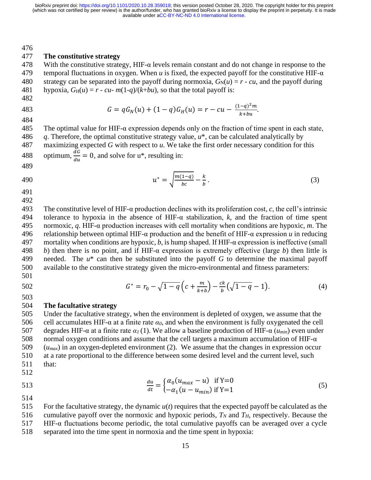476

#### 477 **The constitutive strategy**

478 With the constitutive strategy, HIF- $\alpha$  levels remain constant and do not change in response to the 479 temporal fluctuations in oxygen. When *u* is fixed, the expected payoff for the constitutive HIF-α 480 strategy can be separated into the payoff during normoxia,  $G_N(u) = r \cdot cu$ , and the payoff during 481 hypoxia,  $G_H(u) = r - cu$  -  $m(1-q)/(k+bu)$ , so that the total payoff is:

482

483 
$$
G = qG_N(u) + (1-q)G_H(u) = r - cu - \frac{(1-q)^2m}{k+bu}.
$$
484

485 The optimal value for HIF- $\alpha$  expression depends only on the fraction of time spent in each state, 486 *q*. Therefore, the optimal constitutive strategy value, *u*\*, can be calculated analytically by 487 maximizing expected *G* with respect to *u*. We take the first order necessary condition for this 488 optimum,  $\frac{dG}{du} = 0$ , and solve for u<sup>\*</sup>, resulting in:

489

490 
$$
u^* = \sqrt{\frac{m(1-q)}{bc}} - \frac{k}{b}.
$$
 (3)

491 492

 The constitutive level of HIF-α production declines with its proliferation cost, *c*, the cell's intrinsic tolerance to hypoxia in the absence of HIF-α stabilization, *k*, and the fraction of time spent normoxic, *q*. HIF-α production increases with cell mortality when conditions are hypoxic, *m*. The relationship between optimal HIF-α production and the benefit of HIF-α expression *u* in reducing 497 mortality when conditions are hypoxic,  $b$ , is hump shaped. If HIF- $\alpha$  expression is ineffective (small *b*) then there is no point, and if HIF-α expression is extremely effective (large *b*) then little is needed. The *u*\* can then be substituted into the payoff *G* to determine the maximal payoff available to the constitutive strategy given the micro-environmental and fitness parameters:

501

503

 $G^* = r_0 - \sqrt{1-q} \left( c + \frac{m}{\nu + 1} \right)$  $\left(\frac{m}{k+b}\right)-\frac{ck}{b}$ 502  $G^* = r_0 - \sqrt{1 - q \left(c + \frac{m}{k+b}\right)} - \frac{c\kappa}{b} (\sqrt{1 - q} - 1).$  (4)

### 504 **The facultative strategy**

 Under the facultative strategy, when the environment is depleted of oxygen, we assume that the cell accumulates HIF-α at a finite rate *α0*, and when the environment is fully oxygenated the cell degrades HIF-α at a finite rate *α1* (1). We allow a baseline production of HIF-α (*umin*) even under 508 normal oxygen conditions and assume that the cell targets a maximum accumulation of HIF- $\alpha$  (*umax*) in an oxygen-depleted environment (2). We assume that the changes in expression occur at a rate proportional to the difference between some desired level and the current level, such 511 that:

- 512
- du  $\frac{du}{dt} = \begin{cases} \alpha_0 (u_{max} - u) & \text{if } Y = 0 \\ -\alpha_1 (u - u_{min}) & \text{if } Y = 1 \end{cases}$ 513  $\frac{du}{dt} = \begin{cases} u_0 (u_{max} - u) & \text{if } 1 = 0 \\ -\alpha_1 (u - u_{min}) & \text{if } Y = 1 \end{cases}$  (5)
- 514

 For the facultative strategy, the dynamic *u*(*t*) requires that the expected payoff be calculated as the 516 cumulative payoff over the normoxic and hypoxic periods,  $T_N$  and  $T_H$ , respectively. Because the HIF-α fluctuations become periodic, the total cumulative payoffs can be averaged over a cycle separated into the time spent in normoxia and the time spent in hypoxia: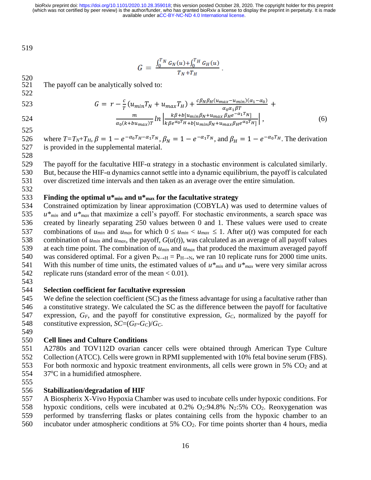519

$$
G = \frac{\int_0^{T_N} G_N(u) + \int_0^{T_H} G_H(u)}{T_N + T_H}
$$

 $520$ 521 The payoff can be analytically solved to:

523 
$$
G = r - \frac{c}{T} (u_{min} T_N + u_{max} T_H) + \frac{c\beta_N \beta_H (u_{max} - u_{min})(\alpha_1 - \alpha_0)}{\alpha_0 \alpha_1 \beta T} + \frac{m}{\alpha_0 (k + bu_{max})T} ln \left| \frac{k\beta + b[u_{min}\beta_N + u_{max}\beta_H e^{-\alpha_1 T_N}]}{k\beta e^{\alpha_0 T_H} + b[u_{min}\beta_N + u_{max}\beta_H e^{\alpha_0 T_H}]} \right|,
$$
(6)

525

522

526 where  $T=T_N+T_H$ ,  $\beta = 1 - e^{-\alpha_0 T_H - \alpha_1 T_N}$ ,  $\beta_N = 1 - e^{-\alpha_1 T_N}$ , and  $\beta_H = 1 - e^{-\alpha_0 T_H}$ . The derivation 527 is provided in the supplemental material.

## 528

529 The payoff for the facultative HIF- $\alpha$  strategy in a stochastic environment is calculated similarly.

530 But, because the HIF- $\alpha$  dynamics cannot settle into a dynamic equilibrium, the payoff is calculated 531 over discretized time intervals and then taken as an average over the entire simulation.

532

## 533 **Finding the optimal u\*min and u\*max for the facultative strategy**

534 Constrained optimization by linear approximation (COBYLA) was used to determine values of 535 *u\*min* and *u\*max* that maximize a cell's payoff. For stochastic environments, a search space was 536 created by linearly separating 250 values between 0 and 1. These values were used to create 537 combinations of  $u_{min}$  and  $u_{max}$  for which  $0 \le u_{min} < u_{max} \le 1$ . After  $u(t)$  was computed for each 538 combination of  $u_{min}$  and  $u_{max}$ , the payoff,  $G(u(t))$ , was calculated as an average of all payoff values 539 at each time point. The combination of *umin* and *umax* that produced the maximum averaged payoff 540 was considered optimal. For a given  $P_{N\to H} = P_{H\to N}$ , we ran 10 replicate runs for 2000 time units. 541 With this number of time units, the estimated values of  $u^*_{min}$  and  $u^*_{max}$  were very similar across 542 replicate runs (standard error of the mean < 0.01).

543

### 544 **Selection coefficient for facultative expression**

 We define the selection coefficient (SC) as the fitness advantage for using a facultative rather than a constitutive strategy. We calculated the SC as the difference between the payoff for facultative expression, *GF*, and the payoff for constitutive expression, *GC*, normalized by the payoff for 548 constitutive expression,  $SC=(G_F-G_C)/G_C$ .

549

### 550 **Cell lines and Culture Conditions**

551 A2780s and TOV112D ovarian cancer cells were obtained through American Type Culture 552 Collection (ATCC). Cells were grown in RPMI supplemented with 10% fetal bovine serum (FBS). 553 For both normoxic and hypoxic treatment environments, all cells were grown in 5%  $CO<sub>2</sub>$  and at

- 554 37°C in a humidified atmosphere.
- 555

### 556 **Stabilization/degradation of HIF**

557 A Biospherix X-Vivo Hypoxia Chamber was used to incubate cells under hypoxic conditions. For

558 hypoxic conditions, cells were incubated at  $0.2\%$  O<sub>2</sub>:94.8% N<sub>2</sub>:5% CO<sub>2</sub>. Reoxygenation was

- 559 performed by transferring flasks or plates containing cells from the hypoxic chamber to an
- 560 incubator under atmospheric conditions at 5% CO2. For time points shorter than 4 hours, media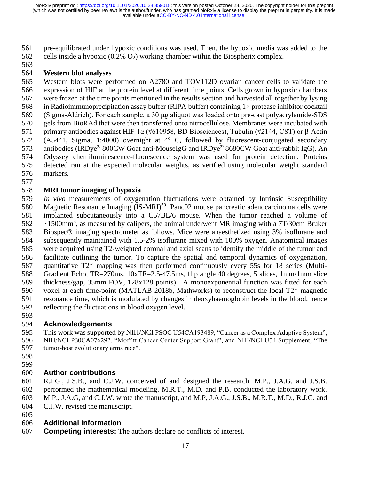pre-equilibrated under hypoxic conditions was used. Then, the hypoxic media was added to the 562 cells inside a hypoxic  $(0.2\% \text{ O}_2)$  working chamber within the Biospherix complex.

## **Western blot analyses**

 Western blots were performed on A2780 and TOV112D ovarian cancer cells to validate the expression of HIF at the protein level at different time points. Cells grown in hypoxic chambers were frozen at the time points mentioned in the results section and harvested all together by lysing 568 in Radioimmunoprecipitation assay buffer (RIPA buffer) containing  $1 \times$  protease inhibitor cocktail (Sigma-Aldrich). For each sample, a 30 μg aliquot was loaded onto pre-cast polyacrylamide-SDS gels from BioRAd that were then transferred onto nitrocellulose. Membranes were incubated with primary antibodies against HIF-1α (#610958, BD Biosciences), Tubulin (#2144, CST) or β-Actin 572 (A5441, Sigma, 1:4000) overnight at  $4^{\circ}$  C, followed by fluorescent-conjugated secondary 573 antibodies (IRDye® 800CW Goat anti-MouseIgG and IRDye® 8680CW Goat anti-rabbit IgG). An Odyssey chemiluminescence-fluorescence system was used for protein detection. Proteins detected ran at the expected molecular weights, as verified using molecular weight standard markers.

## **MRI tumor imaging of hypoxia**

 *In vivo* measurements of oxygenation fluctuations were obtained by Intrinsic Susceptibility 580 Magnetic Resonance Imaging (IS-MRI)<sup>50</sup>. Panc02 mouse pancreatic adenocarcinoma cells were implanted subcutaneously into a C57BL/6 mouse. When the tumor reached a volume of  $\sim$  1500mm<sup>3</sup>, as measured by calipers, the animal underwent MR imaging with a 7T/30cm Bruker Biospec® imaging spectrometer as follows. Mice were anaesthetized using 3% isoflurane and subsequently maintained with 1.5-2% isoflurane mixed with 100% oxygen. Anatomical images were acquired using T2-weighted coronal and axial scans to identify the middle of the tumor and facilitate outlining the tumor. To capture the spatial and temporal dynamics of oxygenation, quantitative T2\* mapping was then performed continuously every 55s for 18 series (Multi- Gradient Echo, TR=270ms, 10xTE=2.5-47.5ms, flip angle 40 degrees, 5 slices, 1mm/1mm slice thickness/gap, 35mm FOV, 128x128 points). A monoexponential function was fitted for each voxel at each time-point (MATLAB 2018b, Mathworks) to reconstruct the local T2\* magnetic resonance time, which is modulated by changes in deoxyhaemoglobin levels in the blood, hence reflecting the fluctuations in blood oxygen level.

## **Acknowledgements**

 This work was supported by NIH/NCI PSOC U54CA193489, "Cancer as a Complex Adaptive System", NIH/NCI P30CA076292, "Moffitt Cancer Center Support Grant", and NIH/NCI U54 Supplement, "The tumor-host evolutionary arms race".

- 
- 

## **Author contributions**

R.J.G., J.S.B., and C.J.W. conceived of and designed the research. M.P., J.A.G. and J.S.B.

 performed the mathematical modeling. M.R.T., M.D. and P.B. conducted the laboratory work. M.P., J.A.G, and C.J.W. wrote the manuscript, and M.P, J.A.G., J.S.B., M.R.T., M.D., R.J.G. and

- C.J.W. revised the manuscript.
- 

## **Additional information**

**Competing interests:** The authors declare no conflicts of interest.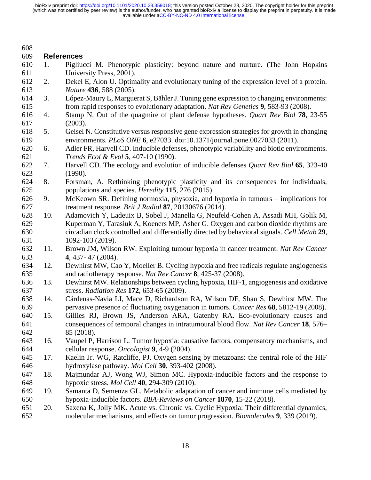| 609<br><b>References</b><br>610<br>Pigliucci M. Phenotypic plasticity: beyond nature and nurture. (The John Hopkins<br>1.<br>611<br>University Press, 2001).<br>612<br>2.<br>Dekel E, Alon U. Optimality and evolutionary tuning of the expression level of a protein.<br>613<br>Nature 436, 588 (2005).<br>López-Maury L, Marguerat S, Bähler J. Tuning gene expression to changing environments:<br>614<br>3.<br>615<br>from rapid responses to evolutionary adaptation. Nat Rev Genetics 9, 583-93 (2008).<br>Stamp N. Out of the quagmire of plant defense hypotheses. Quart Rev Biol 78, 23-55<br>616<br>4.<br>617<br>(2003).<br>618<br>Geisel N. Constitutive versus responsive gene expression strategies for growth in changing<br>5.<br>619<br>environments. PLoS ONE 6, e27033. doi:10.1371/journal.pone.0027033 (2011).<br>Adler FR, Harvell CD. Inducible defenses, phenotypic variability and biotic environments.<br>620<br>6.<br>621<br>Trends Ecol & Evol 5, 407-10 (1990).<br>622<br>Harvell CD. The ecology and evolution of inducible defenses Quart Rev Biol 65, 323-40<br>7.<br>623<br>(1990).<br>624<br>Forsman, A. Rethinking phenotypic plasticity and its consequences for individuals,<br>8.<br>625<br>populations and species. <i>Heredity</i> 115, 276 (2015).<br>626<br>McKeown SR. Defining normoxia, physoxia, and hypoxia in tumours – implications for<br>9.<br>627<br>treatment response. Brit J Radiol 87, 20130676 (2014).<br>628<br>Adamovich Y, Ladeuix B, Sobel J, Manella G, Neufeld-Cohen A, Assadi MH, Golik M,<br>10.<br>629<br>Kuperman Y, Tarasiuk A, Koeners MP, Asher G. Oxygen and carbon dioxide rhythms are<br>630<br>circadian clock controlled and differentially directed by behavioral signals. Cell Metab 29,<br>631<br>1092-103 (2019).<br>632<br>Brown JM, Wilson RW. Exploiting tumour hypoxia in cancer treatment. Nat Rev Cancer<br>11.<br>633<br>4, 437-47 (2004).<br>Dewhirst MW, Cao Y, Moeller B. Cycling hypoxia and free radicals regulate angiogenesis<br>634<br>12.<br>and radiotherapy response. Nat Rev Cancer 8, 425-37 (2008).<br>635<br>636<br>Dewhirst MW. Relationships between cycling hypoxia, HIF-1, angiogenesis and oxidative<br>13.<br>637<br>stress. Radiation Res 172, 653-65 (2009).<br>638<br>Cárdenas-Navia LI, Mace D, Richardson RA, Wilson DF, Shan S, Dewhirst MW. The<br>14.<br>639<br>pervasive presence of fluctuating oxygenation in tumors. Cancer Res 68, 5812-19 (2008).<br>640<br>15.<br>Gillies RJ, Brown JS, Anderson ARA, Gatenby RA. Eco-evolutionary causes and<br>641<br>consequences of temporal changes in intratumoural blood flow. Nat Rev Cancer 18, 576–<br>642<br>85 (2018).<br>643<br>16.<br>Vaupel P, Harrison L. Tumor hypoxia: causative factors, compensatory mechanisms, and<br>cellular response. Oncologist 9, 4-9 (2004). | 608 |  |
|---------------------------------------------------------------------------------------------------------------------------------------------------------------------------------------------------------------------------------------------------------------------------------------------------------------------------------------------------------------------------------------------------------------------------------------------------------------------------------------------------------------------------------------------------------------------------------------------------------------------------------------------------------------------------------------------------------------------------------------------------------------------------------------------------------------------------------------------------------------------------------------------------------------------------------------------------------------------------------------------------------------------------------------------------------------------------------------------------------------------------------------------------------------------------------------------------------------------------------------------------------------------------------------------------------------------------------------------------------------------------------------------------------------------------------------------------------------------------------------------------------------------------------------------------------------------------------------------------------------------------------------------------------------------------------------------------------------------------------------------------------------------------------------------------------------------------------------------------------------------------------------------------------------------------------------------------------------------------------------------------------------------------------------------------------------------------------------------------------------------------------------------------------------------------------------------------------------------------------------------------------------------------------------------------------------------------------------------------------------------------------------------------------------------------------------------------------------------------------------------------------------------------------------------------------------------------------------------------------------------------------------------------------------------------------------------------------------------------------------------------------------------------------------------------------------------------------------------------|-----|--|
|                                                                                                                                                                                                                                                                                                                                                                                                                                                                                                                                                                                                                                                                                                                                                                                                                                                                                                                                                                                                                                                                                                                                                                                                                                                                                                                                                                                                                                                                                                                                                                                                                                                                                                                                                                                                                                                                                                                                                                                                                                                                                                                                                                                                                                                                                                                                                                                                                                                                                                                                                                                                                                                                                                                                                                                                                                                   |     |  |
|                                                                                                                                                                                                                                                                                                                                                                                                                                                                                                                                                                                                                                                                                                                                                                                                                                                                                                                                                                                                                                                                                                                                                                                                                                                                                                                                                                                                                                                                                                                                                                                                                                                                                                                                                                                                                                                                                                                                                                                                                                                                                                                                                                                                                                                                                                                                                                                                                                                                                                                                                                                                                                                                                                                                                                                                                                                   |     |  |
|                                                                                                                                                                                                                                                                                                                                                                                                                                                                                                                                                                                                                                                                                                                                                                                                                                                                                                                                                                                                                                                                                                                                                                                                                                                                                                                                                                                                                                                                                                                                                                                                                                                                                                                                                                                                                                                                                                                                                                                                                                                                                                                                                                                                                                                                                                                                                                                                                                                                                                                                                                                                                                                                                                                                                                                                                                                   |     |  |
|                                                                                                                                                                                                                                                                                                                                                                                                                                                                                                                                                                                                                                                                                                                                                                                                                                                                                                                                                                                                                                                                                                                                                                                                                                                                                                                                                                                                                                                                                                                                                                                                                                                                                                                                                                                                                                                                                                                                                                                                                                                                                                                                                                                                                                                                                                                                                                                                                                                                                                                                                                                                                                                                                                                                                                                                                                                   |     |  |
|                                                                                                                                                                                                                                                                                                                                                                                                                                                                                                                                                                                                                                                                                                                                                                                                                                                                                                                                                                                                                                                                                                                                                                                                                                                                                                                                                                                                                                                                                                                                                                                                                                                                                                                                                                                                                                                                                                                                                                                                                                                                                                                                                                                                                                                                                                                                                                                                                                                                                                                                                                                                                                                                                                                                                                                                                                                   |     |  |
|                                                                                                                                                                                                                                                                                                                                                                                                                                                                                                                                                                                                                                                                                                                                                                                                                                                                                                                                                                                                                                                                                                                                                                                                                                                                                                                                                                                                                                                                                                                                                                                                                                                                                                                                                                                                                                                                                                                                                                                                                                                                                                                                                                                                                                                                                                                                                                                                                                                                                                                                                                                                                                                                                                                                                                                                                                                   |     |  |
|                                                                                                                                                                                                                                                                                                                                                                                                                                                                                                                                                                                                                                                                                                                                                                                                                                                                                                                                                                                                                                                                                                                                                                                                                                                                                                                                                                                                                                                                                                                                                                                                                                                                                                                                                                                                                                                                                                                                                                                                                                                                                                                                                                                                                                                                                                                                                                                                                                                                                                                                                                                                                                                                                                                                                                                                                                                   |     |  |
|                                                                                                                                                                                                                                                                                                                                                                                                                                                                                                                                                                                                                                                                                                                                                                                                                                                                                                                                                                                                                                                                                                                                                                                                                                                                                                                                                                                                                                                                                                                                                                                                                                                                                                                                                                                                                                                                                                                                                                                                                                                                                                                                                                                                                                                                                                                                                                                                                                                                                                                                                                                                                                                                                                                                                                                                                                                   |     |  |
|                                                                                                                                                                                                                                                                                                                                                                                                                                                                                                                                                                                                                                                                                                                                                                                                                                                                                                                                                                                                                                                                                                                                                                                                                                                                                                                                                                                                                                                                                                                                                                                                                                                                                                                                                                                                                                                                                                                                                                                                                                                                                                                                                                                                                                                                                                                                                                                                                                                                                                                                                                                                                                                                                                                                                                                                                                                   |     |  |
|                                                                                                                                                                                                                                                                                                                                                                                                                                                                                                                                                                                                                                                                                                                                                                                                                                                                                                                                                                                                                                                                                                                                                                                                                                                                                                                                                                                                                                                                                                                                                                                                                                                                                                                                                                                                                                                                                                                                                                                                                                                                                                                                                                                                                                                                                                                                                                                                                                                                                                                                                                                                                                                                                                                                                                                                                                                   |     |  |
|                                                                                                                                                                                                                                                                                                                                                                                                                                                                                                                                                                                                                                                                                                                                                                                                                                                                                                                                                                                                                                                                                                                                                                                                                                                                                                                                                                                                                                                                                                                                                                                                                                                                                                                                                                                                                                                                                                                                                                                                                                                                                                                                                                                                                                                                                                                                                                                                                                                                                                                                                                                                                                                                                                                                                                                                                                                   |     |  |
|                                                                                                                                                                                                                                                                                                                                                                                                                                                                                                                                                                                                                                                                                                                                                                                                                                                                                                                                                                                                                                                                                                                                                                                                                                                                                                                                                                                                                                                                                                                                                                                                                                                                                                                                                                                                                                                                                                                                                                                                                                                                                                                                                                                                                                                                                                                                                                                                                                                                                                                                                                                                                                                                                                                                                                                                                                                   |     |  |
|                                                                                                                                                                                                                                                                                                                                                                                                                                                                                                                                                                                                                                                                                                                                                                                                                                                                                                                                                                                                                                                                                                                                                                                                                                                                                                                                                                                                                                                                                                                                                                                                                                                                                                                                                                                                                                                                                                                                                                                                                                                                                                                                                                                                                                                                                                                                                                                                                                                                                                                                                                                                                                                                                                                                                                                                                                                   |     |  |
|                                                                                                                                                                                                                                                                                                                                                                                                                                                                                                                                                                                                                                                                                                                                                                                                                                                                                                                                                                                                                                                                                                                                                                                                                                                                                                                                                                                                                                                                                                                                                                                                                                                                                                                                                                                                                                                                                                                                                                                                                                                                                                                                                                                                                                                                                                                                                                                                                                                                                                                                                                                                                                                                                                                                                                                                                                                   |     |  |
|                                                                                                                                                                                                                                                                                                                                                                                                                                                                                                                                                                                                                                                                                                                                                                                                                                                                                                                                                                                                                                                                                                                                                                                                                                                                                                                                                                                                                                                                                                                                                                                                                                                                                                                                                                                                                                                                                                                                                                                                                                                                                                                                                                                                                                                                                                                                                                                                                                                                                                                                                                                                                                                                                                                                                                                                                                                   |     |  |
|                                                                                                                                                                                                                                                                                                                                                                                                                                                                                                                                                                                                                                                                                                                                                                                                                                                                                                                                                                                                                                                                                                                                                                                                                                                                                                                                                                                                                                                                                                                                                                                                                                                                                                                                                                                                                                                                                                                                                                                                                                                                                                                                                                                                                                                                                                                                                                                                                                                                                                                                                                                                                                                                                                                                                                                                                                                   |     |  |
|                                                                                                                                                                                                                                                                                                                                                                                                                                                                                                                                                                                                                                                                                                                                                                                                                                                                                                                                                                                                                                                                                                                                                                                                                                                                                                                                                                                                                                                                                                                                                                                                                                                                                                                                                                                                                                                                                                                                                                                                                                                                                                                                                                                                                                                                                                                                                                                                                                                                                                                                                                                                                                                                                                                                                                                                                                                   |     |  |
|                                                                                                                                                                                                                                                                                                                                                                                                                                                                                                                                                                                                                                                                                                                                                                                                                                                                                                                                                                                                                                                                                                                                                                                                                                                                                                                                                                                                                                                                                                                                                                                                                                                                                                                                                                                                                                                                                                                                                                                                                                                                                                                                                                                                                                                                                                                                                                                                                                                                                                                                                                                                                                                                                                                                                                                                                                                   |     |  |
|                                                                                                                                                                                                                                                                                                                                                                                                                                                                                                                                                                                                                                                                                                                                                                                                                                                                                                                                                                                                                                                                                                                                                                                                                                                                                                                                                                                                                                                                                                                                                                                                                                                                                                                                                                                                                                                                                                                                                                                                                                                                                                                                                                                                                                                                                                                                                                                                                                                                                                                                                                                                                                                                                                                                                                                                                                                   |     |  |
|                                                                                                                                                                                                                                                                                                                                                                                                                                                                                                                                                                                                                                                                                                                                                                                                                                                                                                                                                                                                                                                                                                                                                                                                                                                                                                                                                                                                                                                                                                                                                                                                                                                                                                                                                                                                                                                                                                                                                                                                                                                                                                                                                                                                                                                                                                                                                                                                                                                                                                                                                                                                                                                                                                                                                                                                                                                   |     |  |
|                                                                                                                                                                                                                                                                                                                                                                                                                                                                                                                                                                                                                                                                                                                                                                                                                                                                                                                                                                                                                                                                                                                                                                                                                                                                                                                                                                                                                                                                                                                                                                                                                                                                                                                                                                                                                                                                                                                                                                                                                                                                                                                                                                                                                                                                                                                                                                                                                                                                                                                                                                                                                                                                                                                                                                                                                                                   |     |  |
|                                                                                                                                                                                                                                                                                                                                                                                                                                                                                                                                                                                                                                                                                                                                                                                                                                                                                                                                                                                                                                                                                                                                                                                                                                                                                                                                                                                                                                                                                                                                                                                                                                                                                                                                                                                                                                                                                                                                                                                                                                                                                                                                                                                                                                                                                                                                                                                                                                                                                                                                                                                                                                                                                                                                                                                                                                                   |     |  |
|                                                                                                                                                                                                                                                                                                                                                                                                                                                                                                                                                                                                                                                                                                                                                                                                                                                                                                                                                                                                                                                                                                                                                                                                                                                                                                                                                                                                                                                                                                                                                                                                                                                                                                                                                                                                                                                                                                                                                                                                                                                                                                                                                                                                                                                                                                                                                                                                                                                                                                                                                                                                                                                                                                                                                                                                                                                   |     |  |
|                                                                                                                                                                                                                                                                                                                                                                                                                                                                                                                                                                                                                                                                                                                                                                                                                                                                                                                                                                                                                                                                                                                                                                                                                                                                                                                                                                                                                                                                                                                                                                                                                                                                                                                                                                                                                                                                                                                                                                                                                                                                                                                                                                                                                                                                                                                                                                                                                                                                                                                                                                                                                                                                                                                                                                                                                                                   |     |  |
|                                                                                                                                                                                                                                                                                                                                                                                                                                                                                                                                                                                                                                                                                                                                                                                                                                                                                                                                                                                                                                                                                                                                                                                                                                                                                                                                                                                                                                                                                                                                                                                                                                                                                                                                                                                                                                                                                                                                                                                                                                                                                                                                                                                                                                                                                                                                                                                                                                                                                                                                                                                                                                                                                                                                                                                                                                                   |     |  |
|                                                                                                                                                                                                                                                                                                                                                                                                                                                                                                                                                                                                                                                                                                                                                                                                                                                                                                                                                                                                                                                                                                                                                                                                                                                                                                                                                                                                                                                                                                                                                                                                                                                                                                                                                                                                                                                                                                                                                                                                                                                                                                                                                                                                                                                                                                                                                                                                                                                                                                                                                                                                                                                                                                                                                                                                                                                   |     |  |
|                                                                                                                                                                                                                                                                                                                                                                                                                                                                                                                                                                                                                                                                                                                                                                                                                                                                                                                                                                                                                                                                                                                                                                                                                                                                                                                                                                                                                                                                                                                                                                                                                                                                                                                                                                                                                                                                                                                                                                                                                                                                                                                                                                                                                                                                                                                                                                                                                                                                                                                                                                                                                                                                                                                                                                                                                                                   |     |  |
|                                                                                                                                                                                                                                                                                                                                                                                                                                                                                                                                                                                                                                                                                                                                                                                                                                                                                                                                                                                                                                                                                                                                                                                                                                                                                                                                                                                                                                                                                                                                                                                                                                                                                                                                                                                                                                                                                                                                                                                                                                                                                                                                                                                                                                                                                                                                                                                                                                                                                                                                                                                                                                                                                                                                                                                                                                                   |     |  |
|                                                                                                                                                                                                                                                                                                                                                                                                                                                                                                                                                                                                                                                                                                                                                                                                                                                                                                                                                                                                                                                                                                                                                                                                                                                                                                                                                                                                                                                                                                                                                                                                                                                                                                                                                                                                                                                                                                                                                                                                                                                                                                                                                                                                                                                                                                                                                                                                                                                                                                                                                                                                                                                                                                                                                                                                                                                   |     |  |
|                                                                                                                                                                                                                                                                                                                                                                                                                                                                                                                                                                                                                                                                                                                                                                                                                                                                                                                                                                                                                                                                                                                                                                                                                                                                                                                                                                                                                                                                                                                                                                                                                                                                                                                                                                                                                                                                                                                                                                                                                                                                                                                                                                                                                                                                                                                                                                                                                                                                                                                                                                                                                                                                                                                                                                                                                                                   |     |  |
|                                                                                                                                                                                                                                                                                                                                                                                                                                                                                                                                                                                                                                                                                                                                                                                                                                                                                                                                                                                                                                                                                                                                                                                                                                                                                                                                                                                                                                                                                                                                                                                                                                                                                                                                                                                                                                                                                                                                                                                                                                                                                                                                                                                                                                                                                                                                                                                                                                                                                                                                                                                                                                                                                                                                                                                                                                                   |     |  |
|                                                                                                                                                                                                                                                                                                                                                                                                                                                                                                                                                                                                                                                                                                                                                                                                                                                                                                                                                                                                                                                                                                                                                                                                                                                                                                                                                                                                                                                                                                                                                                                                                                                                                                                                                                                                                                                                                                                                                                                                                                                                                                                                                                                                                                                                                                                                                                                                                                                                                                                                                                                                                                                                                                                                                                                                                                                   |     |  |
|                                                                                                                                                                                                                                                                                                                                                                                                                                                                                                                                                                                                                                                                                                                                                                                                                                                                                                                                                                                                                                                                                                                                                                                                                                                                                                                                                                                                                                                                                                                                                                                                                                                                                                                                                                                                                                                                                                                                                                                                                                                                                                                                                                                                                                                                                                                                                                                                                                                                                                                                                                                                                                                                                                                                                                                                                                                   |     |  |
|                                                                                                                                                                                                                                                                                                                                                                                                                                                                                                                                                                                                                                                                                                                                                                                                                                                                                                                                                                                                                                                                                                                                                                                                                                                                                                                                                                                                                                                                                                                                                                                                                                                                                                                                                                                                                                                                                                                                                                                                                                                                                                                                                                                                                                                                                                                                                                                                                                                                                                                                                                                                                                                                                                                                                                                                                                                   |     |  |
|                                                                                                                                                                                                                                                                                                                                                                                                                                                                                                                                                                                                                                                                                                                                                                                                                                                                                                                                                                                                                                                                                                                                                                                                                                                                                                                                                                                                                                                                                                                                                                                                                                                                                                                                                                                                                                                                                                                                                                                                                                                                                                                                                                                                                                                                                                                                                                                                                                                                                                                                                                                                                                                                                                                                                                                                                                                   |     |  |
|                                                                                                                                                                                                                                                                                                                                                                                                                                                                                                                                                                                                                                                                                                                                                                                                                                                                                                                                                                                                                                                                                                                                                                                                                                                                                                                                                                                                                                                                                                                                                                                                                                                                                                                                                                                                                                                                                                                                                                                                                                                                                                                                                                                                                                                                                                                                                                                                                                                                                                                                                                                                                                                                                                                                                                                                                                                   | 644 |  |
| 645<br>Kaelin Jr. WG, Ratcliffe, PJ. Oxygen sensing by metazoans: the central role of the HIF<br>17.                                                                                                                                                                                                                                                                                                                                                                                                                                                                                                                                                                                                                                                                                                                                                                                                                                                                                                                                                                                                                                                                                                                                                                                                                                                                                                                                                                                                                                                                                                                                                                                                                                                                                                                                                                                                                                                                                                                                                                                                                                                                                                                                                                                                                                                                                                                                                                                                                                                                                                                                                                                                                                                                                                                                              |     |  |
| 646<br>hydroxylase pathway. Mol Cell 30, 393-402 (2008).                                                                                                                                                                                                                                                                                                                                                                                                                                                                                                                                                                                                                                                                                                                                                                                                                                                                                                                                                                                                                                                                                                                                                                                                                                                                                                                                                                                                                                                                                                                                                                                                                                                                                                                                                                                                                                                                                                                                                                                                                                                                                                                                                                                                                                                                                                                                                                                                                                                                                                                                                                                                                                                                                                                                                                                          |     |  |
| 647<br>Majmundar AJ, Wong WJ, Simon MC. Hypoxia-inducible factors and the response to<br>18.                                                                                                                                                                                                                                                                                                                                                                                                                                                                                                                                                                                                                                                                                                                                                                                                                                                                                                                                                                                                                                                                                                                                                                                                                                                                                                                                                                                                                                                                                                                                                                                                                                                                                                                                                                                                                                                                                                                                                                                                                                                                                                                                                                                                                                                                                                                                                                                                                                                                                                                                                                                                                                                                                                                                                      |     |  |
| 648<br>hypoxic stress. <i>Mol Cell</i> 40, 294-309 (2010).                                                                                                                                                                                                                                                                                                                                                                                                                                                                                                                                                                                                                                                                                                                                                                                                                                                                                                                                                                                                                                                                                                                                                                                                                                                                                                                                                                                                                                                                                                                                                                                                                                                                                                                                                                                                                                                                                                                                                                                                                                                                                                                                                                                                                                                                                                                                                                                                                                                                                                                                                                                                                                                                                                                                                                                        |     |  |
| 649<br>19.<br>Samanta D, Semenza GL. Metabolic adaptation of cancer and immune cells mediated by                                                                                                                                                                                                                                                                                                                                                                                                                                                                                                                                                                                                                                                                                                                                                                                                                                                                                                                                                                                                                                                                                                                                                                                                                                                                                                                                                                                                                                                                                                                                                                                                                                                                                                                                                                                                                                                                                                                                                                                                                                                                                                                                                                                                                                                                                                                                                                                                                                                                                                                                                                                                                                                                                                                                                  |     |  |
| 650<br>hypoxia-inducible factors. BBA-Reviews on Cancer 1870, 15-22 (2018).                                                                                                                                                                                                                                                                                                                                                                                                                                                                                                                                                                                                                                                                                                                                                                                                                                                                                                                                                                                                                                                                                                                                                                                                                                                                                                                                                                                                                                                                                                                                                                                                                                                                                                                                                                                                                                                                                                                                                                                                                                                                                                                                                                                                                                                                                                                                                                                                                                                                                                                                                                                                                                                                                                                                                                       |     |  |
| Saxena K, Jolly MK. Acute vs. Chronic vs. Cyclic Hypoxia: Their differential dynamics,<br>651<br>20.                                                                                                                                                                                                                                                                                                                                                                                                                                                                                                                                                                                                                                                                                                                                                                                                                                                                                                                                                                                                                                                                                                                                                                                                                                                                                                                                                                                                                                                                                                                                                                                                                                                                                                                                                                                                                                                                                                                                                                                                                                                                                                                                                                                                                                                                                                                                                                                                                                                                                                                                                                                                                                                                                                                                              |     |  |
| 652<br>molecular mechanisms, and effects on tumor progression. <i>Biomolecules</i> 9, 339 (2019).                                                                                                                                                                                                                                                                                                                                                                                                                                                                                                                                                                                                                                                                                                                                                                                                                                                                                                                                                                                                                                                                                                                                                                                                                                                                                                                                                                                                                                                                                                                                                                                                                                                                                                                                                                                                                                                                                                                                                                                                                                                                                                                                                                                                                                                                                                                                                                                                                                                                                                                                                                                                                                                                                                                                                 |     |  |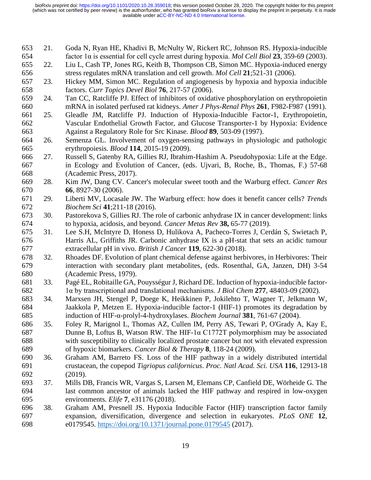- 21. Goda N, Ryan HE, Khadivi B, McNulty W, Rickert RC, Johnson RS. Hypoxia-inducible factor 1α is essential for cell cycle arrest during hypoxia. *Mol Cell Biol* **23**, 359-69 (2003).
- 22. Liu L, Cash TP, Jones RG, Keith B, Thompson CB, Simon MC. Hypoxia-induced energy stress regulates mRNA translation and cell growth. *Mol Cell* **21**;521-31 (2006).
- 23. Hickey MM, Simon MC. Regulation of angiogenesis by hypoxia and hypoxia inducible factors. *Curr Topics Devel Biol* **76**, 217-57 (2006).
- 24. Tan CC, Ratcliffe PJ. Effect of inhibitors of oxidative phosphorylation on erythropoietin mRNA in isolated perfused rat kidneys. *Amer J Phys-Renal Phys* **261**, F982-F987 (1991).
- 25. Gleadle JM, Ratcliffe PJ. Induction of Hypoxia-Inducible Factor-1, Erythropoietin, Vascular Endothelial Growth Factor, and Glucose Transporter-1 by Hypoxia: Evidence Against a Regulatory Role for Src Kinase. *Blood* **89**, 503-09 (1997).
- 26. Semenza GL. Involvement of oxygen-sensing pathways in physiologic and pathologic erythropoiesis. *Blood* **114**, 2015-19 (2009).
- 27. Russell S, Gatenby RA, Gillies RJ, Ibrahim-Hashim A. Pseudohypoxia: Life at the Edge. in Ecology and Evolution of Cancer, (eds. Ujvari, B, Roche, B., Thomas, F.) 57-68 (Academic Press, 2017).
- 28. Kim JW, Dang CV. Cancer's molecular sweet tooth and the Warburg effect. *Cancer Res* **66**, 8927-30 (2006).
- 29. Liberti MV, Locasale JW. The Warburg effect: how does it benefit cancer cells? *Trends Biochem Sci* **41**;211-18 (2016).
- 30. Pastorekova S, Gillies RJ. The role of carbonic anhydrase IX in cancer development: links to hypoxia, acidosis, and beyond. *Cancer Metas Rev* **38,** 65-77 (2019).
- 31. Lee S.H, McIntyre D, Honess D, Hulikova A, Pacheco-Torres J, Cerdán S, Swietach P, Harris AL, Griffiths JR. Carbonic anhydrase IX is a pH-stat that sets an acidic tumour extracellular pH in vivo. *British J Cancer* **119**, 622-30 (2018).
- 32. Rhoades DF. Evolution of plant chemical defense against herbivores, in Herbivores: Their interaction with secondary plant metabolites, (eds. Rosenthal, GA, Janzen, DH) 3-54 (Academic Press, 1979).
- 33. Pagé EL, Robitaille GA, Pouysségur J, Richard DE. Induction of hypoxia-inducible factor-1α by transcriptional and translational mechanisms. *J Biol Chem* **277**, 48403-09 (2002).
- 34. Marxsen JH, Stengel P, Doege K, Heikkinen P, Jokilehto T, Wagner T, Jelkmann W, Jaakkola P, Metzen E. Hypoxia-inducible factor-1 (HIF-1) promotes its degradation by induction of HIF-α-prolyl-4-hydroxylases. *Biochem Journal* **381**, 761-67 (2004).
- 35. Foley R, Marignol L, Thomas AZ, Cullen IM, Perry AS, Tewari P, O'Grady A, Kay E, Dunne B, Loftus B, Watson RW. The HIF-1α C1772T polymorphism may be associated with susceptibility to clinically localized prostate cancer but not with elevated expression of hypoxic biomarkers. *Cancer Biol & Therapy* **8**, 118-24 (2009).
- 36. Graham AM, Barreto FS. Loss of the HIF pathway in a widely distributed intertidal crustacean, the copepod *Tigriopus californicus*. *Proc. Natl Acad. Sci. USA* **116**, 12913-18 (2019).
- 37. Mills DB, Francis WR, Vargas S, Larsen M, Elemans CP, Canfield DE, Wörheide G. The last common ancestor of animals lacked the HIF pathway and respired in low-oxygen environments. *Elife* **7**, e31176 (2018).
- 38. Graham AM, Presnell JS. Hypoxia Inducible Factor (HIF) transcription factor family expansion, diversification, divergence and selection in eukaryotes. *PLoS ONE* **12**, e0179545.<https://doi.org/10.1371/journal.pone.0179545> (2017).